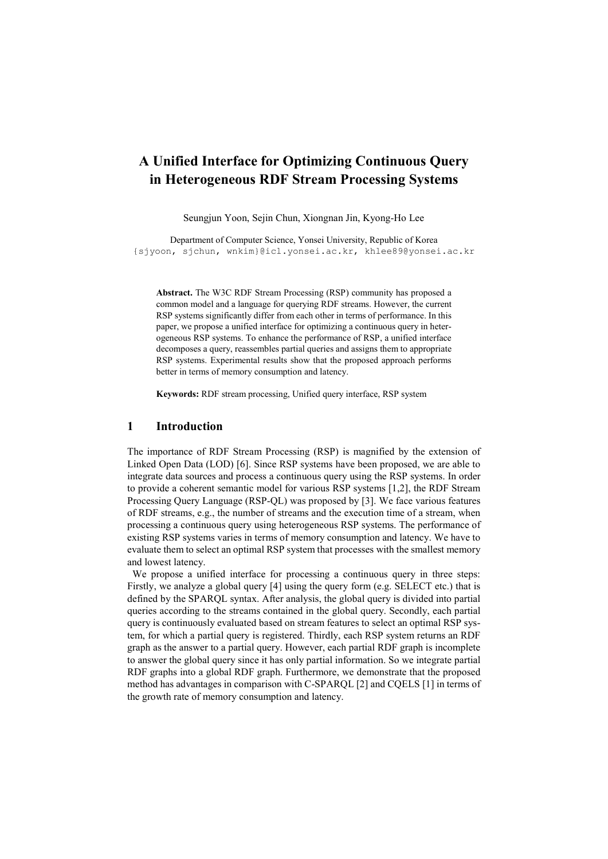# A Unified Interface for Optimizing Continuous Query in Heterogeneous RDF Stream Processing Systems

Seungjun Yoon, Sejin Chun, Xiongnan Jin, Kyong-Ho Lee

Department of Computer Science, Yonsei University, Republic of Korea {sjyoon, sjchun, wnkim}@icl.yonsei.ac.kr, khlee89@yonsei.ac.kr

Abstract. The W3C RDF Stream Processing (RSP) community has proposed a common model and a language for querying RDF streams. However, the current RSP systems significantly differ from each other in terms of performance. In this paper, we propose a unified interface for optimizing a continuous query in heterogeneous RSP systems. To enhance the performance of RSP, a unified interface decomposes a query, reassembles partial queries and assigns them to appropriate RSP systems. Experimental results show that the proposed approach performs better in terms of memory consumption and latency.

Keywords: RDF stream processing, Unified query interface, RSP system

#### 1 Introduction

The importance of RDF Stream Processing (RSP) is magnified by the extension of Linked Open Data (LOD) [6]. Since RSP systems have been proposed, we are able to integrate data sources and process a continuous query using the RSP systems. In order to provide a coherent semantic model for various RSP systems [1,2], the RDF Stream Processing Query Language (RSP-QL) was proposed by [3]. We face various features of RDF streams, e.g., the number of streams and the execution time of a stream, when processing a continuous query using heterogeneous RSP systems. The performance of existing RSP systems varies in terms of memory consumption and latency. We have to evaluate them to select an optimal RSP system that processes with the smallest memory and lowest latency.

We propose a unified interface for processing a continuous query in three steps: Firstly, we analyze a global query [4] using the query form (e.g. SELECT etc.) that is defined by the SPARQL syntax. After analysis, the global query is divided into partial queries according to the streams contained in the global query. Secondly, each partial query is continuously evaluated based on stream features to select an optimal RSP system, for which a partial query is registered. Thirdly, each RSP system returns an RDF graph as the answer to a partial query. However, each partial RDF graph is incomplete to answer the global query since it has only partial information. So we integrate partial RDF graphs into a global RDF graph. Furthermore, we demonstrate that the proposed method has advantages in comparison with C-SPARQL [2] and CQELS [1] in terms of the growth rate of memory consumption and latency.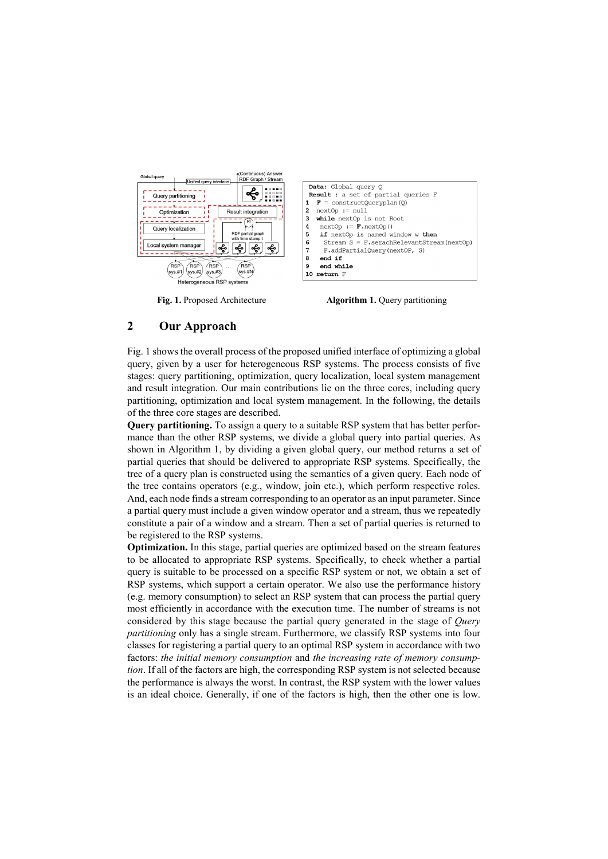

Fig. 1. Proposed Architecture **Algorithm 1.** Query partitioning

## 2 Our Approach

Fig. 1 shows the overall process of the proposed unified interface of optimizing a global query, given by a user for heterogeneous RSP systems. The process consists of five stages: query partitioning, optimization, query localization, local system management and result integration. Our main contributions lie on the three cores, including query partitioning, optimization and local system management. In the following, the details of the three core stages are described.

Query partitioning. To assign a query to a suitable RSP system that has better performance than the other RSP systems, we divide a global query into partial queries. As shown in Algorithm 1, by dividing a given global query, our method returns a set of partial queries that should be delivered to appropriate RSP systems. Specifically, the tree of a query plan is constructed using the semantics of a given query. Each node of the tree contains operators (e.g., window, join etc.), which perform respective roles. And, each node finds a stream corresponding to an operator as an input parameter. Since a partial query must include a given window operator and a stream, thus we repeatedly constitute a pair of a window and a stream. Then a set of partial queries is returned to be registered to the RSP systems.

Optimization. In this stage, partial queries are optimized based on the stream features to be allocated to appropriate RSP systems. Specifically, to check whether a partial query is suitable to be processed on a specific RSP system or not, we obtain a set of RSP systems, which support a certain operator. We also use the performance history (e.g. memory consumption) to select an RSP system that can process the partial query most efficiently in accordance with the execution time. The number of streams is not considered by this stage because the partial query generated in the stage of Query partitioning only has a single stream. Furthermore, we classify RSP systems into four classes for registering a partial query to an optimal RSP system in accordance with two factors: the initial memory consumption and the increasing rate of memory consumption. If all of the factors are high, the corresponding RSP system is not selected because the performance is always the worst. In contrast, the RSP system with the lower values is an ideal choice. Generally, if one of the factors is high, then the other one is low.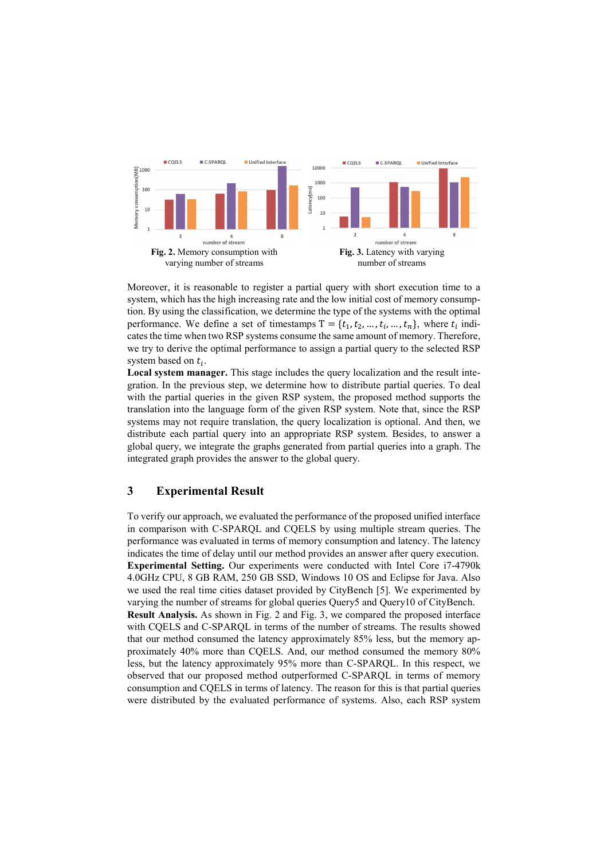

Moreover, it is reasonable to register a partial query with short execution time to a system, which has the high increasing rate and the low initial cost of memory consumption. By using the classification, we determine the type of the systems with the optimal performance. We define a set of timestamps  $T = \{t_1, t_2, ..., t_i, ..., t_n\}$ , where  $t_i$  indicates the time when two RSP systems consume the same amount of memory. Therefore, we try to derive the optimal performance to assign a partial query to the selected RSP system based on  $t_i$ .

Local system manager. This stage includes the query localization and the result integration. In the previous step, we determine how to distribute partial queries. To deal with the partial queries in the given RSP system, the proposed method supports the translation into the language form of the given RSP system. Note that, since the RSP systems may not require translation, the query localization is optional. And then, we distribute each partial query into an appropriate RSP system. Besides, to answer a global query, we integrate the graphs generated from partial queries into a graph. The integrated graph provides the answer to the global query.

## 3 Experimental Result

To verify our approach, we evaluated the performance of the proposed unified interface in comparison with C-SPARQL and CQELS by using multiple stream queries. The performance was evaluated in terms of memory consumption and latency. The latency indicates the time of delay until our method provides an answer after query execution. Experimental Setting. Our experiments were conducted with Intel Core i7-4790k 4.0GHz CPU, 8 GB RAM, 250 GB SSD, Windows 10 OS and Eclipse for Java. Also we used the real time cities dataset provided by CityBench [5]. We experimented by varying the number of streams for global queries Query5 and Query10 of CityBench. Result Analysis. As shown in Fig. 2 and Fig. 3, we compared the proposed interface with CQELS and C-SPARQL in terms of the number of streams. The results showed that our method consumed the latency approximately 85% less, but the memory approximately 40% more than CQELS. And, our method consumed the memory 80% less, but the latency approximately 95% more than C-SPARQL. In this respect, we observed that our proposed method outperformed C-SPARQL in terms of memory consumption and CQELS in terms of latency. The reason for this is that partial queries were distributed by the evaluated performance of systems. Also, each RSP system